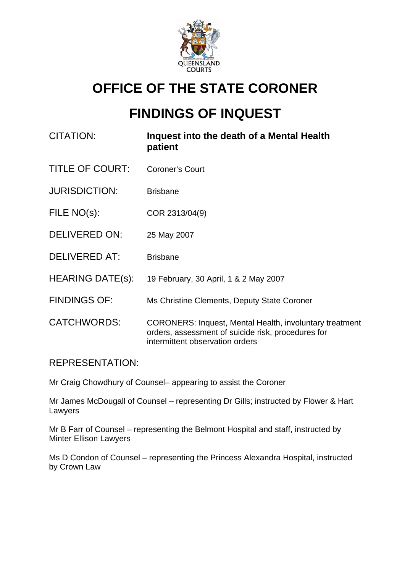

## **OFFICE OF THE STATE CORONER**

# **FINDINGS OF INQUEST**

- CITATION: **Inquest into the death of a Mental Health patient**
- TITLE OF COURT: Coroner's Court
- JURISDICTION: Brisbane
- FILE NO(s): COR 2313/04(9)
- DELIVERED ON: 25 May 2007
- DELIVERED AT: Brisbane
- HEARING DATE(s): 19 February, 30 April, 1 & 2 May 2007
- FINDINGS OF: Ms Christine Clements, Deputy State Coroner
- CATCHWORDS: CORONERS: Inquest, Mental Health, involuntary treatment orders, assessment of suicide risk, procedures for intermittent observation orders

## REPRESENTATION:

Mr Craig Chowdhury of Counsel– appearing to assist the Coroner

Mr James McDougall of Counsel – representing Dr Gills; instructed by Flower & Hart Lawyers

Mr B Farr of Counsel – representing the Belmont Hospital and staff, instructed by Minter Ellison Lawyers

Ms D Condon of Counsel – representing the Princess Alexandra Hospital, instructed by Crown Law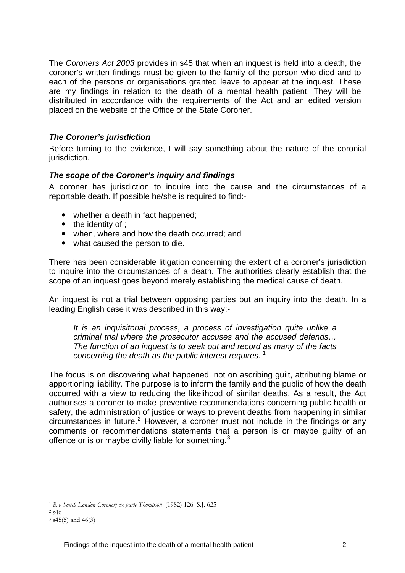The *Coroners Act 2003* provides in s45 that when an inquest is held into a death, the coroner's written findings must be given to the family of the person who died and to each of the persons or organisations granted leave to appear at the inquest. These are my findings in relation to the death of a mental health patient. They will be distributed in accordance with the requirements of the Act and an edited version placed on the website of the Office of the State Coroner.

## *The Coroner's jurisdiction*

Before turning to the evidence, I will say something about the nature of the coronial jurisdiction.

## *The scope of the Coroner's inquiry and findings*

A coroner has jurisdiction to inquire into the cause and the circumstances of a reportable death. If possible he/she is required to find:-

- whether a death in fact happened;
- $\bullet$  the identity of ;
- when, where and how the death occurred; and
- what caused the person to die.

There has been considerable litigation concerning the extent of a coroner's jurisdiction to inquire into the circumstances of a death. The authorities clearly establish that the scope of an inquest goes beyond merely establishing the medical cause of death.

An inquest is not a trial between opposing parties but an inquiry into the death. In a leading English case it was described in this way:-

*It is an inquisitorial process, a process of investigation quite unlike a criminal trial where the prosecutor accuses and the accused defends… The function of an inquest is to seek out and record as many of the facts concerning the death as the public interest requires.* [1](#page-1-0)

The focus is on discovering what happened, not on ascribing guilt, attributing blame or apportioning liability. The purpose is to inform the family and the public of how the death occurred with a view to reducing the likelihood of similar deaths. As a result, the Act authorises a coroner to make preventive recommendations concerning public health or safety, the administration of justice or ways to prevent deaths from happening in similar  $circum$ stances in future.<sup>[2](#page-1-1)</sup> However, a coroner must not include in the findings or any comments or recommendations statements that a person is or maybe guilty of an offence or is or maybe civilly liable for something.<sup>[3](#page-1-2)</sup>

1

<span id="page-1-0"></span><sup>1</sup> *R v South London Coroner; ex parte Thompson* (1982) 126 S.J. 625 2 s46

<span id="page-1-1"></span>

<span id="page-1-2"></span> $3$  s45(5) and 46(3)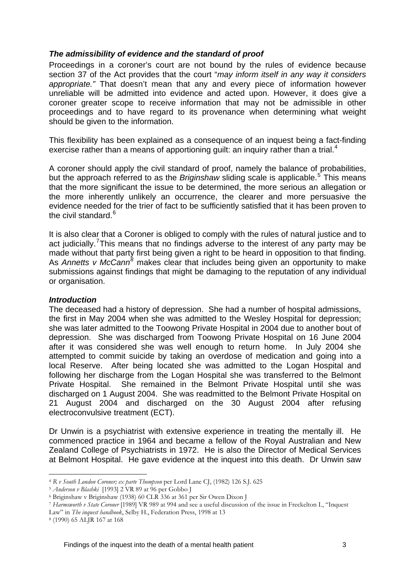## *The admissibility of evidence and the standard of proof*

Proceedings in a coroner's court are not bound by the rules of evidence because section 37 of the Act provides that the court "*may inform itself in any way it considers appropriate."* That doesn't mean that any and every piece of information however unreliable will be admitted into evidence and acted upon. However, it does give a coroner greater scope to receive information that may not be admissible in other proceedings and to have regard to its provenance when determining what weight should be given to the information.

This flexibility has been explained as a consequence of an inquest being a fact-finding exercise rather than a means of apportioning guilt: an inquiry rather than a trial.<sup>[4](#page-2-0)</sup>

A coroner should apply the civil standard of proof, namely the balance of probabilities, but the approach referred to as the *Briginshaw* sliding scale is applicable.<sup>[5](#page-2-1)</sup> This means that the more significant the issue to be determined, the more serious an allegation or the more inherently unlikely an occurrence, the clearer and more persuasive the evidence needed for the trier of fact to be sufficiently satisfied that it has been proven to the civil standard.<sup>[6](#page-2-2)</sup>

It is also clear that a Coroner is obliged to comply with the rules of natural justice and to act judicially.<sup>[7](#page-2-3)</sup> This means that no findings adverse to the interest of any party may be made without that party first being given a right to be heard in opposition to that finding. As Annetts v McCann<sup>[8](#page-2-4)</sup> makes clear that includes being given an opportunity to make submissions against findings that might be damaging to the reputation of any individual or organisation.

### *Introduction*

The deceased had a history of depression. She had a number of hospital admissions, the first in May 2004 when she was admitted to the Wesley Hospital for depression; she was later admitted to the Toowong Private Hospital in 2004 due to another bout of depression. She was discharged from Toowong Private Hospital on 16 June 2004 after it was considered she was well enough to return home. In July 2004 she attempted to commit suicide by taking an overdose of medication and going into a local Reserve. After being located she was admitted to the Logan Hospital and following her discharge from the Logan Hospital she was transferred to the Belmont Private Hospital. She remained in the Belmont Private Hospital until she was discharged on 1 August 2004. She was readmitted to the Belmont Private Hospital on 21 August 2004 and discharged on the 30 August 2004 after refusing electroconvulsive treatment (ECT).

Dr Unwin is a psychiatrist with extensive experience in treating the mentally ill. He commenced practice in 1964 and became a fellow of the Royal Australian and New Zealand College of Psychiatrists in 1972. He is also the Director of Medical Services at Belmont Hospital. He gave evidence at the inquest into this death. Dr Unwin saw

<sup>1</sup> <sup>4</sup> *R v South London Coroner; ex parte Thompson* per Lord Lane CJ, (1982) 126 S.J. 625 5 *Anderson v Blashki* [1993] 2 VR 89 at 96 per Gobbo J 6 Briginshaw v Briginshaw (1938) 60 CLR 336 at 361 per Sir Owen Dixon J

<span id="page-2-1"></span><span id="page-2-0"></span>

<span id="page-2-3"></span><span id="page-2-2"></span><sup>7</sup> *Harmsworth v State Coroner* [1989] VR 989 at 994 and see a useful discussion of the issue in Freckelton I., "Inquest

Law" in *The inquest handbook*, Selby H., Federation Press, 1998 at 13 8 (1990) 65 ALJR 167 at 168

<span id="page-2-4"></span>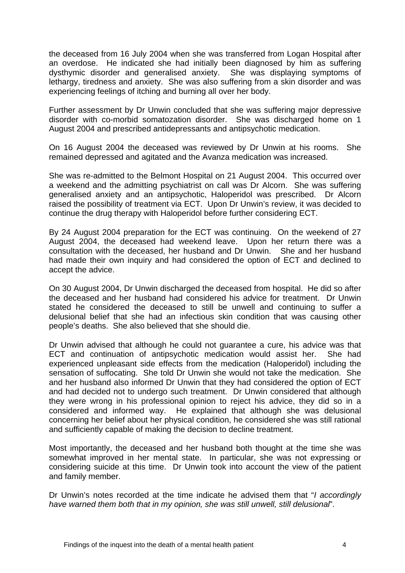the deceased from 16 July 2004 when she was transferred from Logan Hospital after an overdose. He indicated she had initially been diagnosed by him as suffering dysthymic disorder and generalised anxiety. She was displaying symptoms of lethargy, tiredness and anxiety. She was also suffering from a skin disorder and was experiencing feelings of itching and burning all over her body.

Further assessment by Dr Unwin concluded that she was suffering major depressive disorder with co-morbid somatozation disorder. She was discharged home on 1 August 2004 and prescribed antidepressants and antipsychotic medication.

On 16 August 2004 the deceased was reviewed by Dr Unwin at his rooms. She remained depressed and agitated and the Avanza medication was increased.

She was re-admitted to the Belmont Hospital on 21 August 2004. This occurred over a weekend and the admitting psychiatrist on call was Dr Alcorn. She was suffering generalised anxiety and an antipsychotic, Haloperidol was prescribed. Dr Alcorn raised the possibility of treatment via ECT. Upon Dr Unwin's review, it was decided to continue the drug therapy with Haloperidol before further considering ECT.

By 24 August 2004 preparation for the ECT was continuing. On the weekend of 27 August 2004, the deceased had weekend leave. Upon her return there was a consultation with the deceased, her husband and Dr Unwin. She and her husband had made their own inquiry and had considered the option of ECT and declined to accept the advice.

On 30 August 2004, Dr Unwin discharged the deceased from hospital. He did so after the deceased and her husband had considered his advice for treatment. Dr Unwin stated he considered the deceased to still be unwell and continuing to suffer a delusional belief that she had an infectious skin condition that was causing other people's deaths. She also believed that she should die.

Dr Unwin advised that although he could not guarantee a cure, his advice was that ECT and continuation of antipsychotic medication would assist her. She had experienced unpleasant side effects from the medication (Haloperidol) including the sensation of suffocating. She told Dr Unwin she would not take the medication. She and her husband also informed Dr Unwin that they had considered the option of ECT and had decided not to undergo such treatment. Dr Unwin considered that although they were wrong in his professional opinion to reject his advice, they did so in a considered and informed way. He explained that although she was delusional concerning her belief about her physical condition, he considered she was still rational and sufficiently capable of making the decision to decline treatment.

Most importantly, the deceased and her husband both thought at the time she was somewhat improved in her mental state. In particular, she was not expressing or considering suicide at this time. Dr Unwin took into account the view of the patient and family member.

Dr Unwin's notes recorded at the time indicate he advised them that "*I accordingly have warned them both that in my opinion, she was still unwell, still delusional*".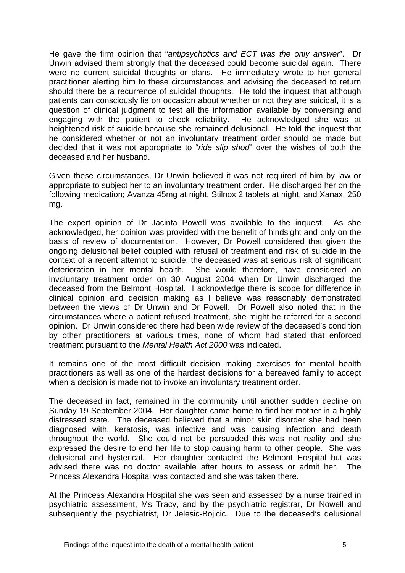He gave the firm opinion that "*antipsychotics and ECT was the only answer*". Dr Unwin advised them strongly that the deceased could become suicidal again. There were no current suicidal thoughts or plans. He immediately wrote to her general practitioner alerting him to these circumstances and advising the deceased to return should there be a recurrence of suicidal thoughts. He told the inquest that although patients can consciously lie on occasion about whether or not they are suicidal, it is a question of clinical judgment to test all the information available by conversing and engaging with the patient to check reliability. He acknowledged she was at heightened risk of suicide because she remained delusional. He told the inquest that he considered whether or not an involuntary treatment order should be made but decided that it was not appropriate to "*ride slip shod*" over the wishes of both the deceased and her husband.

Given these circumstances, Dr Unwin believed it was not required of him by law or appropriate to subject her to an involuntary treatment order. He discharged her on the following medication; Avanza 45mg at night, Stilnox 2 tablets at night, and Xanax, 250 mg.

The expert opinion of Dr Jacinta Powell was available to the inquest. As she acknowledged, her opinion was provided with the benefit of hindsight and only on the basis of review of documentation. However, Dr Powell considered that given the ongoing delusional belief coupled with refusal of treatment and risk of suicide in the context of a recent attempt to suicide, the deceased was at serious risk of significant deterioration in her mental health. She would therefore, have considered an involuntary treatment order on 30 August 2004 when Dr Unwin discharged the deceased from the Belmont Hospital. I acknowledge there is scope for difference in clinical opinion and decision making as I believe was reasonably demonstrated between the views of Dr Unwin and Dr Powell. Dr Powell also noted that in the circumstances where a patient refused treatment, she might be referred for a second opinion. Dr Unwin considered there had been wide review of the deceased's condition by other practitioners at various times, none of whom had stated that enforced treatment pursuant to the *Mental Health Act 2000* was indicated.

It remains one of the most difficult decision making exercises for mental health practitioners as well as one of the hardest decisions for a bereaved family to accept when a decision is made not to invoke an involuntary treatment order.

The deceased in fact, remained in the community until another sudden decline on Sunday 19 September 2004. Her daughter came home to find her mother in a highly distressed state. The deceased believed that a minor skin disorder she had been diagnosed with, keratosis, was infective and was causing infection and death throughout the world. She could not be persuaded this was not reality and she expressed the desire to end her life to stop causing harm to other people. She was delusional and hysterical. Her daughter contacted the Belmont Hospital but was advised there was no doctor available after hours to assess or admit her. The Princess Alexandra Hospital was contacted and she was taken there.

At the Princess Alexandra Hospital she was seen and assessed by a nurse trained in psychiatric assessment, Ms Tracy, and by the psychiatric registrar, Dr Nowell and subsequently the psychiatrist, Dr Jelesic-Bojicic. Due to the deceased's delusional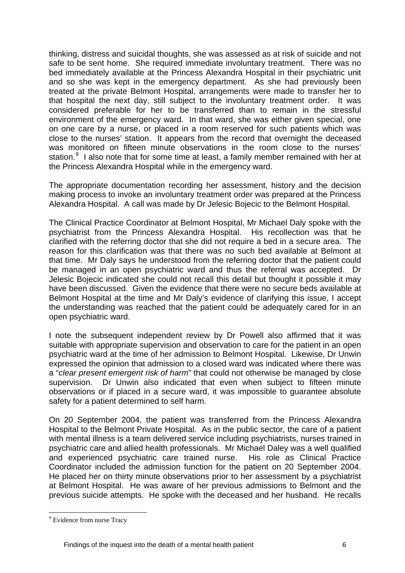thinking, distress and suicidal thoughts, she was assessed as at risk of suicide and not safe to be sent home. She required immediate involuntary treatment. There was no bed immediately available at the Princess Alexandra Hospital in their psychiatric unit and so she was kept in the emergency department. As she had previously been treated at the private Belmont Hospital, arrangements were made to transfer her to that hospital the next day, still subject to the involuntary treatment order. It was considered preferable for her to be transferred than to remain in the stressful environment of the emergency ward. In that ward, she was either given special, one on one care by a nurse, or placed in a room reserved for such patients which was close to the nurses' station. It appears from the record that overnight the deceased was monitored on fifteen minute observations in the room close to the nurses' station.<sup>[9](#page-5-0)</sup> I also note that for some time at least, a family member remained with her at the Princess Alexandra Hospital while in the emergency ward.

The appropriate documentation recording her assessment, history and the decision making process to invoke an involuntary treatment order was prepared at the Princess Alexandra Hospital. A call was made by Dr Jelesic Bojecic to the Belmont Hospital.

The Clinical Practice Coordinator at Belmont Hospital, Mr Michael Daly spoke with the psychiatrist from the Princess Alexandra Hospital. His recollection was that he clarified with the referring doctor that she did not require a bed in a secure area. The reason for this clarification was that there was no such bed available at Belmont at that time. Mr Daly says he understood from the referring doctor that the patient could be managed in an open psychiatric ward and thus the referral was accepted. Dr Jelesic Bojecic indicated she could not recall this detail but thought it possible it may have been discussed. Given the evidence that there were no secure beds available at Belmont Hospital at the time and Mr Daly's evidence of clarifying this issue, I accept the understanding was reached that the patient could be adequately cared for in an open psychiatric ward.

I note the subsequent independent review by Dr Powell also affirmed that it was suitable with appropriate supervision and observation to care for the patient in an open psychiatric ward at the time of her admission to Belmont Hospital. Likewise, Dr Unwin expressed the opinion that admission to a closed ward was indicated where there was a "*clear present emergent risk of harm*" that could not otherwise be managed by close supervision. Dr Unwin also indicated that even when subject to fifteen minute observations or if placed in a secure ward, it was impossible to guarantee absolute safety for a patient determined to self harm.

On 20 September 2004, the patient was transferred from the Princess Alexandra Hospital to the Belmont Private Hospital. As in the public sector, the care of a patient with mental illness is a team delivered service including psychiatrists, nurses trained in psychiatric care and allied health professionals. Mr Michael Daley was a well qualified and experienced psychiatric care trained nurse. His role as Clinical Practice Coordinator included the admission function for the patient on 20 September 2004. He placed her on thirty minute observations prior to her assessment by a psychiatrist at Belmont Hospital. He was aware of her previous admissions to Belmont and the previous suicide attempts. He spoke with the deceased and her husband. He recalls

1

<span id="page-5-0"></span><sup>&</sup>lt;sup>9</sup> Evidence from nurse Tracy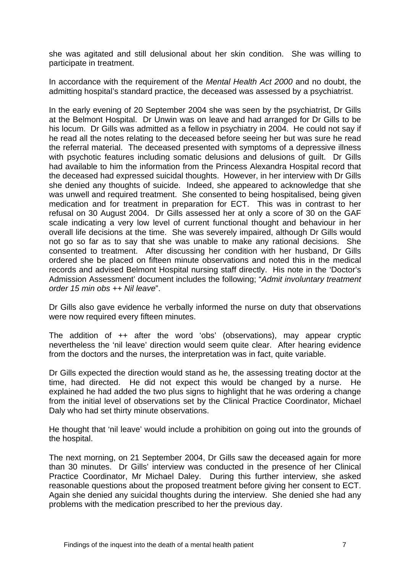she was agitated and still delusional about her skin condition. She was willing to participate in treatment.

In accordance with the requirement of the *Mental Health Act 2000* and no doubt, the admitting hospital's standard practice, the deceased was assessed by a psychiatrist.

In the early evening of 20 September 2004 she was seen by the psychiatrist, Dr Gills at the Belmont Hospital. Dr Unwin was on leave and had arranged for Dr Gills to be his locum. Dr Gills was admitted as a fellow in psychiatry in 2004. He could not say if he read all the notes relating to the deceased before seeing her but was sure he read the referral material. The deceased presented with symptoms of a depressive illness with psychotic features including somatic delusions and delusions of quilt. Dr Gills had available to him the information from the Princess Alexandra Hospital record that the deceased had expressed suicidal thoughts. However, in her interview with Dr Gills she denied any thoughts of suicide. Indeed, she appeared to acknowledge that she was unwell and required treatment. She consented to being hospitalised, being given medication and for treatment in preparation for ECT. This was in contrast to her refusal on 30 August 2004. Dr Gills assessed her at only a score of 30 on the GAF scale indicating a very low level of current functional thought and behaviour in her overall life decisions at the time. She was severely impaired, although Dr Gills would not go so far as to say that she was unable to make any rational decisions. She consented to treatment. After discussing her condition with her husband, Dr Gills ordered she be placed on fifteen minute observations and noted this in the medical records and advised Belmont Hospital nursing staff directly. His note in the 'Doctor's Admission Assessment' document includes the following; "*Admit involuntary treatment order 15 min obs ++ Nil leave*".

Dr Gills also gave evidence he verbally informed the nurse on duty that observations were now required every fifteen minutes.

The addition of ++ after the word 'obs' (observations), may appear cryptic nevertheless the 'nil leave' direction would seem quite clear. After hearing evidence from the doctors and the nurses, the interpretation was in fact, quite variable.

Dr Gills expected the direction would stand as he, the assessing treating doctor at the time, had directed. He did not expect this would be changed by a nurse. He explained he had added the two plus signs to highlight that he was ordering a change from the initial level of observations set by the Clinical Practice Coordinator, Michael Daly who had set thirty minute observations.

He thought that 'nil leave' would include a prohibition on going out into the grounds of the hospital.

The next morning, on 21 September 2004, Dr Gills saw the deceased again for more than 30 minutes. Dr Gills' interview was conducted in the presence of her Clinical Practice Coordinator, Mr Michael Daley. During this further interview, she asked reasonable questions about the proposed treatment before giving her consent to ECT. Again she denied any suicidal thoughts during the interview. She denied she had any problems with the medication prescribed to her the previous day.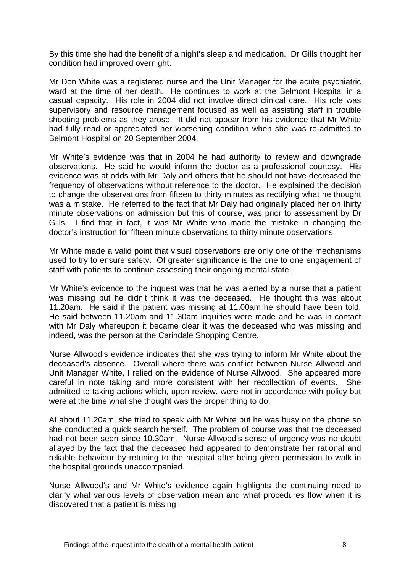By this time she had the benefit of a night's sleep and medication. Dr Gills thought her condition had improved overnight.

Mr Don White was a registered nurse and the Unit Manager for the acute psychiatric ward at the time of her death. He continues to work at the Belmont Hospital in a casual capacity. His role in 2004 did not involve direct clinical care. His role was supervisory and resource management focused as well as assisting staff in trouble shooting problems as they arose. It did not appear from his evidence that Mr White had fully read or appreciated her worsening condition when she was re-admitted to Belmont Hospital on 20 September 2004.

Mr White's evidence was that in 2004 he had authority to review and downgrade observations. He said he would inform the doctor as a professional courtesy. His evidence was at odds with Mr Daly and others that he should not have decreased the frequency of observations without reference to the doctor. He explained the decision to change the observations from fifteen to thirty minutes as rectifying what he thought was a mistake. He referred to the fact that Mr Daly had originally placed her on thirty minute observations on admission but this of course, was prior to assessment by Dr Gills. I find that in fact, it was Mr White who made the mistake in changing the doctor's instruction for fifteen minute observations to thirty minute observations.

Mr White made a valid point that visual observations are only one of the mechanisms used to try to ensure safety. Of greater significance is the one to one engagement of staff with patients to continue assessing their ongoing mental state.

Mr White's evidence to the inquest was that he was alerted by a nurse that a patient was missing but he didn't think it was the deceased. He thought this was about 11.20am. He said if the patient was missing at 11.00am he should have been told. He said between 11.20am and 11.30am inquiries were made and he was in contact with Mr Daly whereupon it became clear it was the deceased who was missing and indeed, was the person at the Carindale Shopping Centre.

Nurse Allwood's evidence indicates that she was trying to inform Mr White about the deceased's absence. Overall where there was conflict between Nurse Allwood and Unit Manager White, I relied on the evidence of Nurse Allwood. She appeared more careful in note taking and more consistent with her recollection of events. She admitted to taking actions which, upon review, were not in accordance with policy but were at the time what she thought was the proper thing to do.

At about 11.20am, she tried to speak with Mr White but he was busy on the phone so she conducted a quick search herself. The problem of course was that the deceased had not been seen since 10.30am. Nurse Allwood's sense of urgency was no doubt allayed by the fact that the deceased had appeared to demonstrate her rational and reliable behaviour by retuning to the hospital after being given permission to walk in the hospital grounds unaccompanied.

Nurse Allwood's and Mr White's evidence again highlights the continuing need to clarify what various levels of observation mean and what procedures flow when it is discovered that a patient is missing.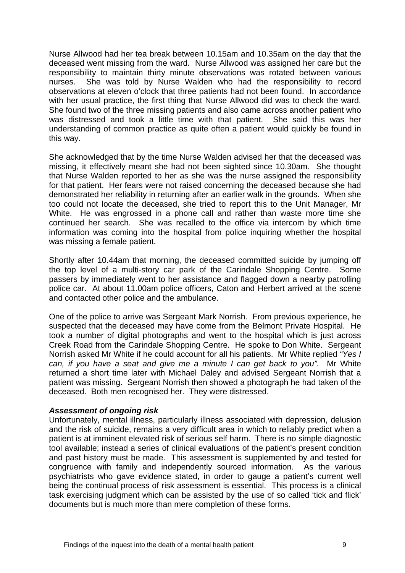Nurse Allwood had her tea break between 10.15am and 10.35am on the day that the deceased went missing from the ward. Nurse Allwood was assigned her care but the responsibility to maintain thirty minute observations was rotated between various nurses. She was told by Nurse Walden who had the responsibility to record observations at eleven o'clock that three patients had not been found. In accordance with her usual practice, the first thing that Nurse Allwood did was to check the ward. She found two of the three missing patients and also came across another patient who was distressed and took a little time with that patient. She said this was her understanding of common practice as quite often a patient would quickly be found in this way.

She acknowledged that by the time Nurse Walden advised her that the deceased was missing, it effectively meant she had not been sighted since 10.30am. She thought that Nurse Walden reported to her as she was the nurse assigned the responsibility for that patient. Her fears were not raised concerning the deceased because she had demonstrated her reliability in returning after an earlier walk in the grounds. When she too could not locate the deceased, she tried to report this to the Unit Manager, Mr White. He was engrossed in a phone call and rather than waste more time she continued her search. She was recalled to the office via intercom by which time information was coming into the hospital from police inquiring whether the hospital was missing a female patient.

Shortly after 10.44am that morning, the deceased committed suicide by jumping off the top level of a multi-story car park of the Carindale Shopping Centre. Some passers by immediately went to her assistance and flagged down a nearby patrolling police car. At about 11.00am police officers, Caton and Herbert arrived at the scene and contacted other police and the ambulance.

One of the police to arrive was Sergeant Mark Norrish. From previous experience, he suspected that the deceased may have come from the Belmont Private Hospital. He took a number of digital photographs and went to the hospital which is just across Creek Road from the Carindale Shopping Centre. He spoke to Don White. Sergeant Norrish asked Mr White if he could account for all his patients. Mr White replied *"Yes I can, if you have a seat and give me a minute I can get back to you".* Mr White returned a short time later with Michael Daley and advised Sergeant Norrish that a patient was missing. Sergeant Norrish then showed a photograph he had taken of the deceased. Both men recognised her. They were distressed.

#### *Assessment of ongoing risk*

Unfortunately, mental illness, particularly illness associated with depression, delusion and the risk of suicide, remains a very difficult area in which to reliably predict when a patient is at imminent elevated risk of serious self harm. There is no simple diagnostic tool available; instead a series of clinical evaluations of the patient's present condition and past history must be made. This assessment is supplemented by and tested for congruence with family and independently sourced information. As the various psychiatrists who gave evidence stated, in order to gauge a patient's current well being the continual process of risk assessment is essential. This process is a clinical task exercising judgment which can be assisted by the use of so called 'tick and flick' documents but is much more than mere completion of these forms.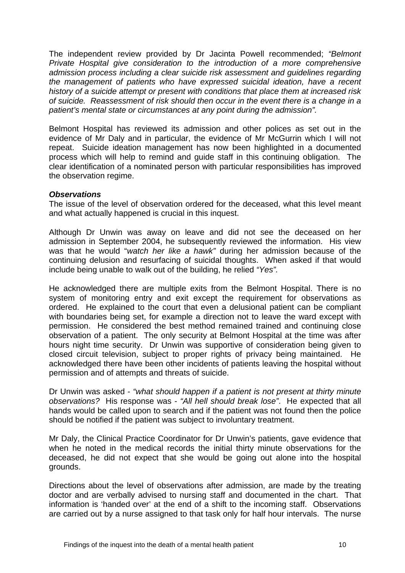The independent review provided by Dr Jacinta Powell recommended; *"Belmont Private Hospital give consideration to the introduction of a more comprehensive admission process including a clear suicide risk assessment and guidelines regarding the management of patients who have expressed suicidal ideation, have a recent history of a suicide attempt or present with conditions that place them at increased risk of suicide. Reassessment of risk should then occur in the event there is a change in a patient's mental state or circumstances at any point during the admission".*

Belmont Hospital has reviewed its admission and other polices as set out in the evidence of Mr Daly and in particular, the evidence of Mr McGurrin which I will not repeat. Suicide ideation management has now been highlighted in a documented process which will help to remind and guide staff in this continuing obligation. The clear identification of a nominated person with particular responsibilities has improved the observation regime.

#### *Observations*

The issue of the level of observation ordered for the deceased, what this level meant and what actually happened is crucial in this inquest.

Although Dr Unwin was away on leave and did not see the deceased on her admission in September 2004, he subsequently reviewed the information. His view was that he would "*watch her like a hawk"* during her admission because of the continuing delusion and resurfacing of suicidal thoughts. When asked if that would include being unable to walk out of the building, he relied *"Yes".*

He acknowledged there are multiple exits from the Belmont Hospital. There is no system of monitoring entry and exit except the requirement for observations as ordered. He explained to the court that even a delusional patient can be compliant with boundaries being set, for example a direction not to leave the ward except with permission. He considered the best method remained trained and continuing close observation of a patient. The only security at Belmont Hospital at the time was after hours night time security. Dr Unwin was supportive of consideration being given to closed circuit television, subject to proper rights of privacy being maintained. He acknowledged there have been other incidents of patients leaving the hospital without permission and of attempts and threats of suicide.

Dr Unwin was asked - *"what should happen if a patient is not present at thirty minute observations?* His response was - *"All hell should break lose"*. He expected that all hands would be called upon to search and if the patient was not found then the police should be notified if the patient was subject to involuntary treatment.

Mr Daly, the Clinical Practice Coordinator for Dr Unwin's patients, gave evidence that when he noted in the medical records the initial thirty minute observations for the deceased, he did not expect that she would be going out alone into the hospital grounds.

Directions about the level of observations after admission, are made by the treating doctor and are verbally advised to nursing staff and documented in the chart. That information is 'handed over' at the end of a shift to the incoming staff. Observations are carried out by a nurse assigned to that task only for half hour intervals. The nurse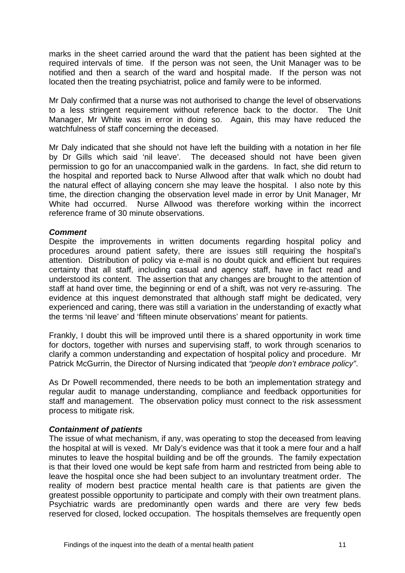marks in the sheet carried around the ward that the patient has been sighted at the required intervals of time. If the person was not seen, the Unit Manager was to be notified and then a search of the ward and hospital made. If the person was not located then the treating psychiatrist, police and family were to be informed.

Mr Daly confirmed that a nurse was not authorised to change the level of observations to a less stringent requirement without reference back to the doctor. The Unit Manager, Mr White was in error in doing so. Again, this may have reduced the watchfulness of staff concerning the deceased.

Mr Daly indicated that she should not have left the building with a notation in her file by Dr Gills which said 'nil leave'*.* The deceased should not have been given permission to go for an unaccompanied walk in the gardens. In fact, she did return to the hospital and reported back to Nurse Allwood after that walk which no doubt had the natural effect of allaying concern she may leave the hospital. I also note by this time, the direction changing the observation level made in error by Unit Manager, Mr White had occurred. Nurse Allwood was therefore working within the incorrect reference frame of 30 minute observations.

#### *Comment*

Despite the improvements in written documents regarding hospital policy and procedures around patient safety, there are issues still requiring the hospital's attention. Distribution of policy via e-mail is no doubt quick and efficient but requires certainty that all staff, including casual and agency staff, have in fact read and understood its content. The assertion that any changes are brought to the attention of staff at hand over time, the beginning or end of a shift, was not very re-assuring. The evidence at this inquest demonstrated that although staff might be dedicated, very experienced and caring, there was still a variation in the understanding of exactly what the terms 'nil leave' and 'fifteen minute observations' meant for patients.

Frankly, I doubt this will be improved until there is a shared opportunity in work time for doctors, together with nurses and supervising staff, to work through scenarios to clarify a common understanding and expectation of hospital policy and procedure. Mr Patrick McGurrin, the Director of Nursing indicated that *"people don't embrace policy"*.

As Dr Powell recommended, there needs to be both an implementation strategy and regular audit to manage understanding, compliance and feedback opportunities for staff and management. The observation policy must connect to the risk assessment process to mitigate risk.

#### *Containment of patients*

The issue of what mechanism, if any, was operating to stop the deceased from leaving the hospital at will is vexed. Mr Daly's evidence was that it took a mere four and a half minutes to leave the hospital building and be off the grounds. The family expectation is that their loved one would be kept safe from harm and restricted from being able to leave the hospital once she had been subject to an involuntary treatment order. The reality of modern best practice mental health care is that patients are given the greatest possible opportunity to participate and comply with their own treatment plans. Psychiatric wards are predominantly open wards and there are very few beds reserved for closed, locked occupation. The hospitals themselves are frequently open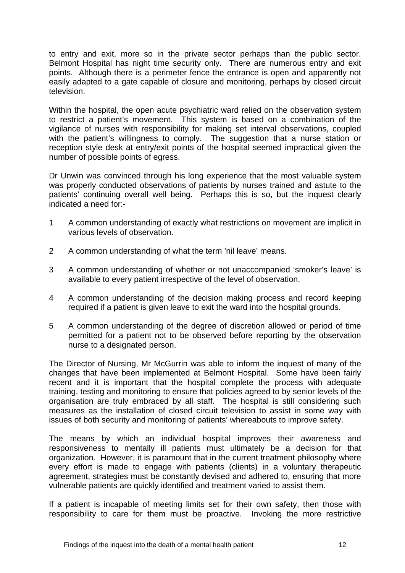to entry and exit, more so in the private sector perhaps than the public sector. Belmont Hospital has night time security only. There are numerous entry and exit points. Although there is a perimeter fence the entrance is open and apparently not easily adapted to a gate capable of closure and monitoring, perhaps by closed circuit television.

Within the hospital, the open acute psychiatric ward relied on the observation system to restrict a patient's movement. This system is based on a combination of the vigilance of nurses with responsibility for making set interval observations, coupled with the patient's willingness to comply. The suggestion that a nurse station or reception style desk at entry/exit points of the hospital seemed impractical given the number of possible points of egress.

Dr Unwin was convinced through his long experience that the most valuable system was properly conducted observations of patients by nurses trained and astute to the patients' continuing overall well being. Perhaps this is so, but the inquest clearly indicated a need for:-

- 1 A common understanding of exactly what restrictions on movement are implicit in various levels of observation.
- 2 A common understanding of what the term 'nil leave' means.
- 3 A common understanding of whether or not unaccompanied 'smoker's leave' is available to every patient irrespective of the level of observation.
- 4 A common understanding of the decision making process and record keeping required if a patient is given leave to exit the ward into the hospital grounds.
- 5 A common understanding of the degree of discretion allowed or period of time permitted for a patient not to be observed before reporting by the observation nurse to a designated person.

The Director of Nursing, Mr McGurrin was able to inform the inquest of many of the changes that have been implemented at Belmont Hospital. Some have been fairly recent and it is important that the hospital complete the process with adequate training, testing and monitoring to ensure that policies agreed to by senior levels of the organisation are truly embraced by all staff. The hospital is still considering such measures as the installation of closed circuit television to assist in some way with issues of both security and monitoring of patients' whereabouts to improve safety.

The means by which an individual hospital improves their awareness and responsiveness to mentally ill patients must ultimately be a decision for that organization. However, it is paramount that in the current treatment philosophy where every effort is made to engage with patients (clients) in a voluntary therapeutic agreement, strategies must be constantly devised and adhered to, ensuring that more vulnerable patients are quickly identified and treatment varied to assist them.

If a patient is incapable of meeting limits set for their own safety, then those with responsibility to care for them must be proactive. Invoking the more restrictive